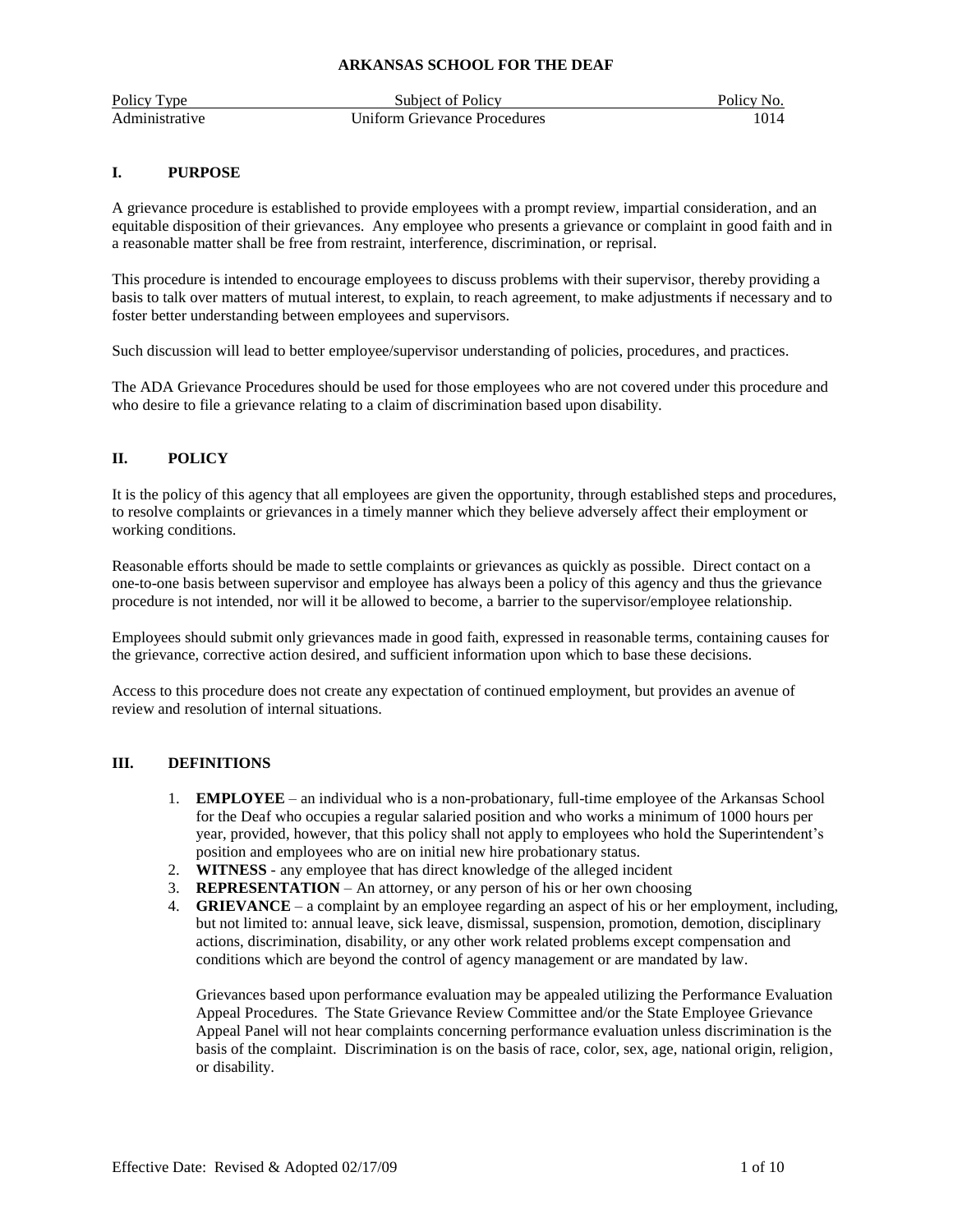| Policy Type    | Subject of Policy            | Policy No. |
|----------------|------------------------------|------------|
| Administrative | Uniform Grievance Procedures |            |

## **I. PURPOSE**

A grievance procedure is established to provide employees with a prompt review, impartial consideration, and an equitable disposition of their grievances. Any employee who presents a grievance or complaint in good faith and in a reasonable matter shall be free from restraint, interference, discrimination, or reprisal.

This procedure is intended to encourage employees to discuss problems with their supervisor, thereby providing a basis to talk over matters of mutual interest, to explain, to reach agreement, to make adjustments if necessary and to foster better understanding between employees and supervisors.

Such discussion will lead to better employee/supervisor understanding of policies, procedures, and practices.

The ADA Grievance Procedures should be used for those employees who are not covered under this procedure and who desire to file a grievance relating to a claim of discrimination based upon disability.

# **II. POLICY**

It is the policy of this agency that all employees are given the opportunity, through established steps and procedures, to resolve complaints or grievances in a timely manner which they believe adversely affect their employment or working conditions.

Reasonable efforts should be made to settle complaints or grievances as quickly as possible. Direct contact on a one-to-one basis between supervisor and employee has always been a policy of this agency and thus the grievance procedure is not intended, nor will it be allowed to become, a barrier to the supervisor/employee relationship.

Employees should submit only grievances made in good faith, expressed in reasonable terms, containing causes for the grievance, corrective action desired, and sufficient information upon which to base these decisions.

Access to this procedure does not create any expectation of continued employment, but provides an avenue of review and resolution of internal situations.

# **III. DEFINITIONS**

- 1. **EMPLOYEE** an individual who is a non-probationary, full-time employee of the Arkansas School for the Deaf who occupies a regular salaried position and who works a minimum of 1000 hours per year, provided, however, that this policy shall not apply to employees who hold the Superintendent's position and employees who are on initial new hire probationary status.
- 2. **WITNESS**  any employee that has direct knowledge of the alleged incident
- 3. **REPRESENTATION** An attorney, or any person of his or her own choosing
- 4. **GRIEVANCE** a complaint by an employee regarding an aspect of his or her employment, including, but not limited to: annual leave, sick leave, dismissal, suspension, promotion, demotion, disciplinary actions, discrimination, disability, or any other work related problems except compensation and conditions which are beyond the control of agency management or are mandated by law.

Grievances based upon performance evaluation may be appealed utilizing the Performance Evaluation Appeal Procedures. The State Grievance Review Committee and/or the State Employee Grievance Appeal Panel will not hear complaints concerning performance evaluation unless discrimination is the basis of the complaint. Discrimination is on the basis of race, color, sex, age, national origin, religion, or disability.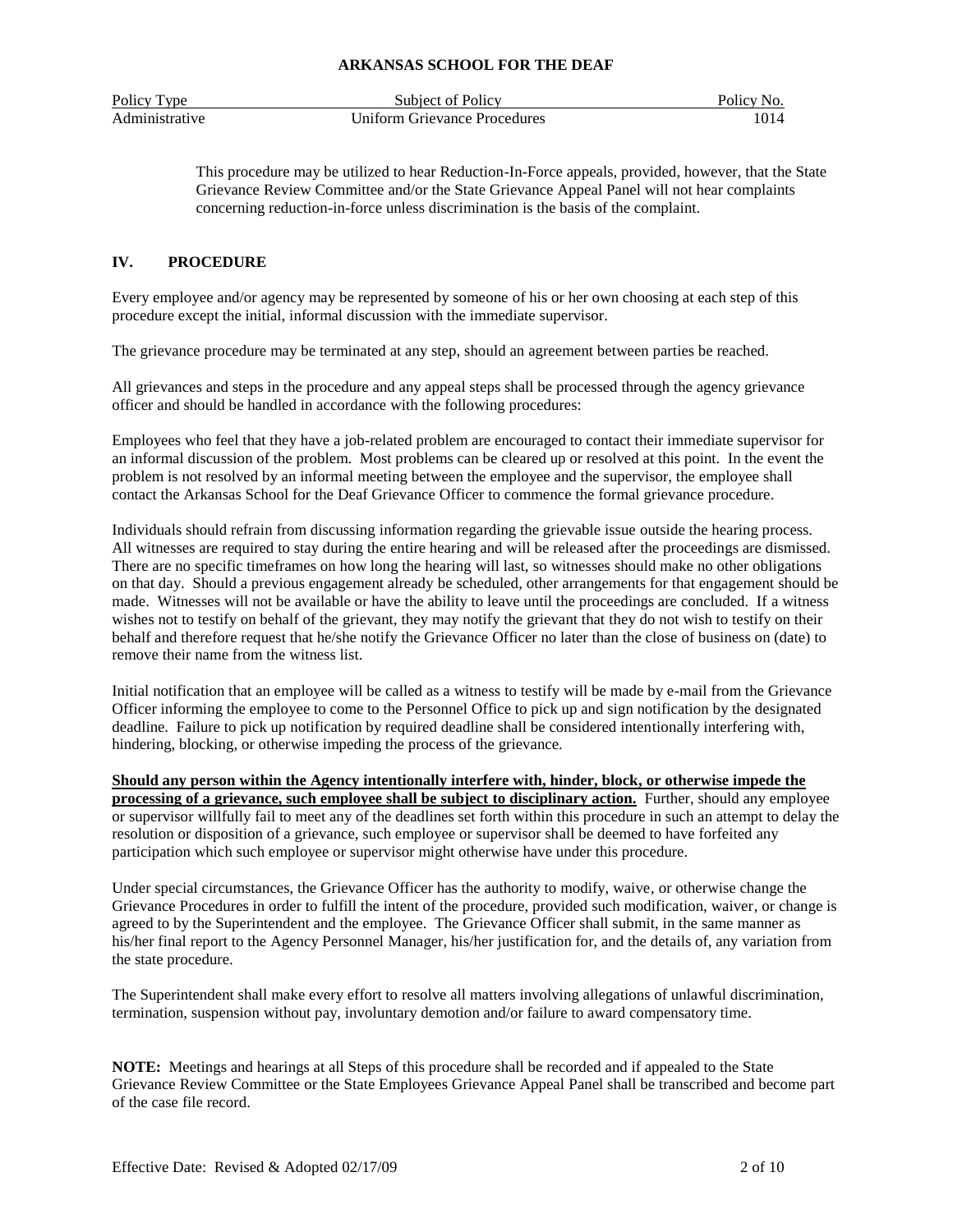| Policy Type    | Subject of Policy            | Policy No. |
|----------------|------------------------------|------------|
| Administrative | Uniform Grievance Procedures | 1014       |

This procedure may be utilized to hear Reduction-In-Force appeals, provided, however, that the State Grievance Review Committee and/or the State Grievance Appeal Panel will not hear complaints concerning reduction-in-force unless discrimination is the basis of the complaint.

# **IV. PROCEDURE**

Every employee and/or agency may be represented by someone of his or her own choosing at each step of this procedure except the initial, informal discussion with the immediate supervisor.

The grievance procedure may be terminated at any step, should an agreement between parties be reached.

All grievances and steps in the procedure and any appeal steps shall be processed through the agency grievance officer and should be handled in accordance with the following procedures:

Employees who feel that they have a job-related problem are encouraged to contact their immediate supervisor for an informal discussion of the problem. Most problems can be cleared up or resolved at this point. In the event the problem is not resolved by an informal meeting between the employee and the supervisor, the employee shall contact the Arkansas School for the Deaf Grievance Officer to commence the formal grievance procedure.

Individuals should refrain from discussing information regarding the grievable issue outside the hearing process. All witnesses are required to stay during the entire hearing and will be released after the proceedings are dismissed. There are no specific timeframes on how long the hearing will last, so witnesses should make no other obligations on that day. Should a previous engagement already be scheduled, other arrangements for that engagement should be made. Witnesses will not be available or have the ability to leave until the proceedings are concluded. If a witness wishes not to testify on behalf of the grievant, they may notify the grievant that they do not wish to testify on their behalf and therefore request that he/she notify the Grievance Officer no later than the close of business on (date) to remove their name from the witness list.

Initial notification that an employee will be called as a witness to testify will be made by e-mail from the Grievance Officer informing the employee to come to the Personnel Office to pick up and sign notification by the designated deadline. Failure to pick up notification by required deadline shall be considered intentionally interfering with, hindering, blocking, or otherwise impeding the process of the grievance.

**Should any person within the Agency intentionally interfere with, hinder, block, or otherwise impede the processing of a grievance, such employee shall be subject to disciplinary action.** Further, should any employee or supervisor willfully fail to meet any of the deadlines set forth within this procedure in such an attempt to delay the resolution or disposition of a grievance, such employee or supervisor shall be deemed to have forfeited any participation which such employee or supervisor might otherwise have under this procedure.

Under special circumstances, the Grievance Officer has the authority to modify, waive, or otherwise change the Grievance Procedures in order to fulfill the intent of the procedure, provided such modification, waiver, or change is agreed to by the Superintendent and the employee. The Grievance Officer shall submit, in the same manner as his/her final report to the Agency Personnel Manager, his/her justification for, and the details of, any variation from the state procedure.

The Superintendent shall make every effort to resolve all matters involving allegations of unlawful discrimination, termination, suspension without pay, involuntary demotion and/or failure to award compensatory time.

**NOTE:** Meetings and hearings at all Steps of this procedure shall be recorded and if appealed to the State Grievance Review Committee or the State Employees Grievance Appeal Panel shall be transcribed and become part of the case file record.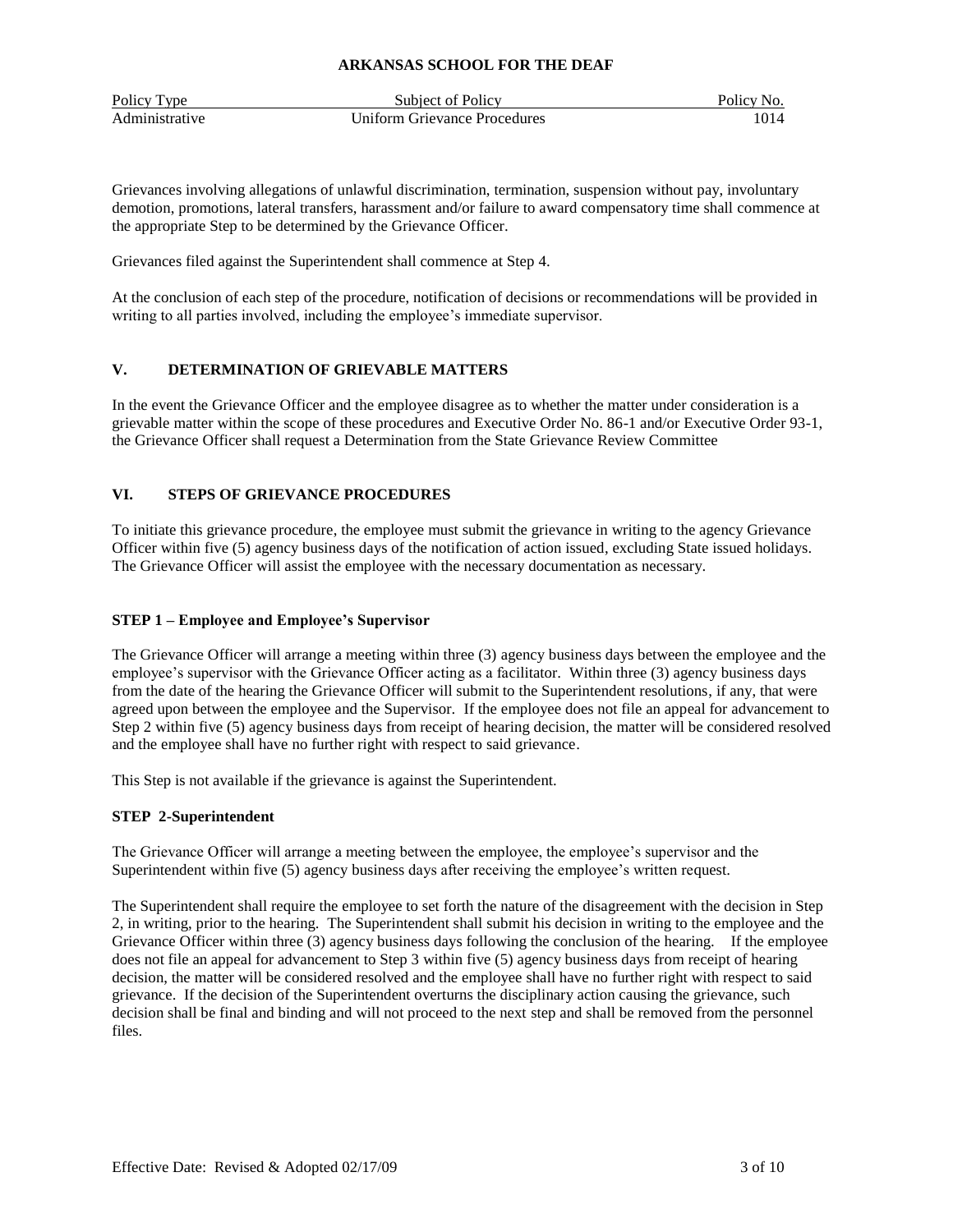| Policy Type    | Subject of Policy                   | Policy No. |
|----------------|-------------------------------------|------------|
| Administrative | <b>Uniform Grievance Procedures</b> | 1014       |

Grievances involving allegations of unlawful discrimination, termination, suspension without pay, involuntary demotion, promotions, lateral transfers, harassment and/or failure to award compensatory time shall commence at the appropriate Step to be determined by the Grievance Officer.

Grievances filed against the Superintendent shall commence at Step 4.

At the conclusion of each step of the procedure, notification of decisions or recommendations will be provided in writing to all parties involved, including the employee's immediate supervisor.

# **V. DETERMINATION OF GRIEVABLE MATTERS**

In the event the Grievance Officer and the employee disagree as to whether the matter under consideration is a grievable matter within the scope of these procedures and Executive Order No. 86-1 and/or Executive Order 93-1, the Grievance Officer shall request a Determination from the State Grievance Review Committee

## **VI. STEPS OF GRIEVANCE PROCEDURES**

To initiate this grievance procedure, the employee must submit the grievance in writing to the agency Grievance Officer within five (5) agency business days of the notification of action issued, excluding State issued holidays. The Grievance Officer will assist the employee with the necessary documentation as necessary.

## **STEP 1 – Employee and Employee's Supervisor**

The Grievance Officer will arrange a meeting within three (3) agency business days between the employee and the employee's supervisor with the Grievance Officer acting as a facilitator. Within three (3) agency business days from the date of the hearing the Grievance Officer will submit to the Superintendent resolutions, if any, that were agreed upon between the employee and the Supervisor. If the employee does not file an appeal for advancement to Step 2 within five (5) agency business days from receipt of hearing decision, the matter will be considered resolved and the employee shall have no further right with respect to said grievance.

This Step is not available if the grievance is against the Superintendent.

#### **STEP 2-Superintendent**

The Grievance Officer will arrange a meeting between the employee, the employee's supervisor and the Superintendent within five (5) agency business days after receiving the employee's written request.

The Superintendent shall require the employee to set forth the nature of the disagreement with the decision in Step 2, in writing, prior to the hearing. The Superintendent shall submit his decision in writing to the employee and the Grievance Officer within three (3) agency business days following the conclusion of the hearing. If the employee does not file an appeal for advancement to Step 3 within five (5) agency business days from receipt of hearing decision, the matter will be considered resolved and the employee shall have no further right with respect to said grievance. If the decision of the Superintendent overturns the disciplinary action causing the grievance, such decision shall be final and binding and will not proceed to the next step and shall be removed from the personnel files.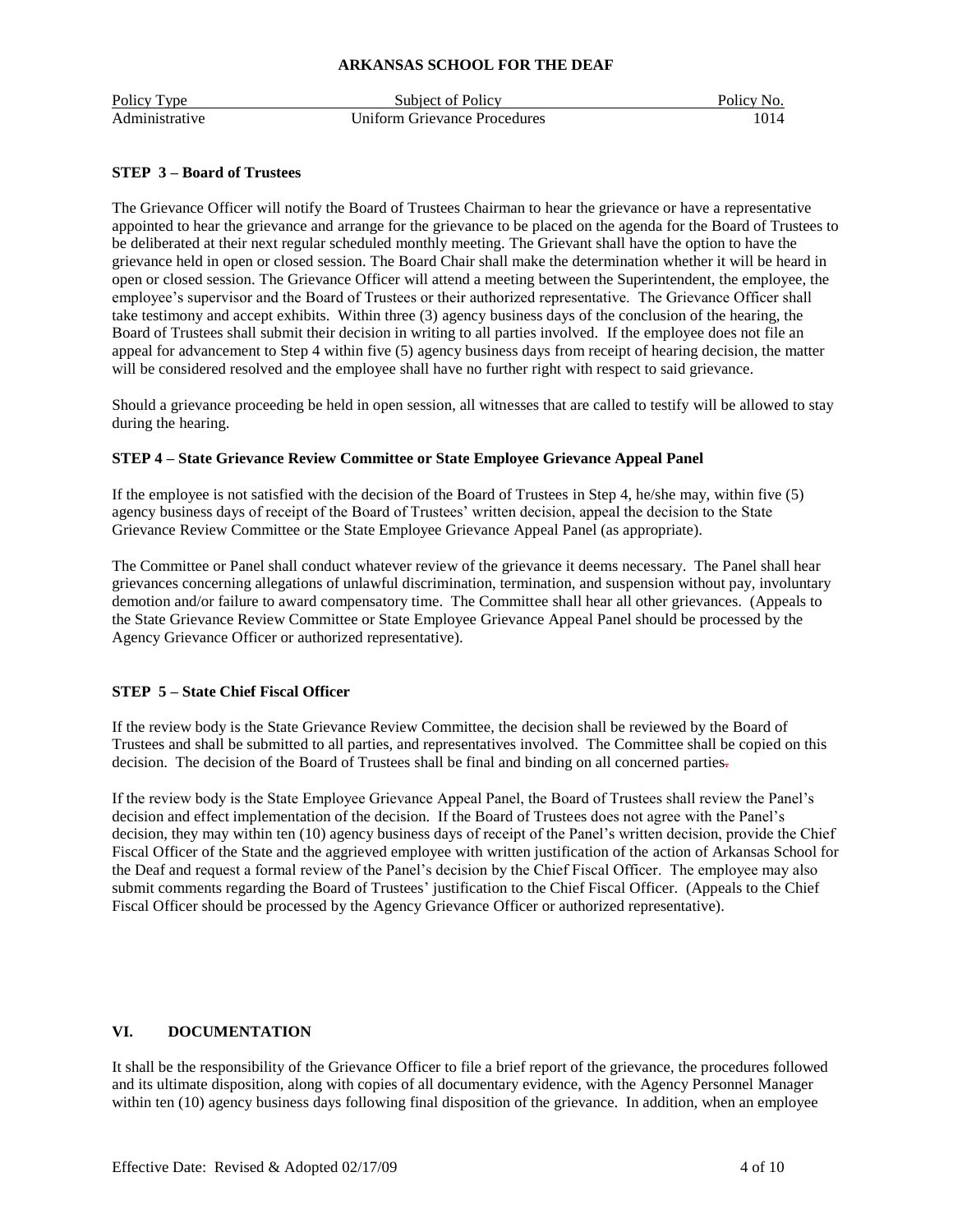| Policy Type    | Subject of Policy                   | Policy No. |
|----------------|-------------------------------------|------------|
| Administrative | <b>Uniform Grievance Procedures</b> |            |

## **STEP 3 – Board of Trustees**

The Grievance Officer will notify the Board of Trustees Chairman to hear the grievance or have a representative appointed to hear the grievance and arrange for the grievance to be placed on the agenda for the Board of Trustees to be deliberated at their next regular scheduled monthly meeting. The Grievant shall have the option to have the grievance held in open or closed session. The Board Chair shall make the determination whether it will be heard in open or closed session. The Grievance Officer will attend a meeting between the Superintendent, the employee, the employee's supervisor and the Board of Trustees or their authorized representative. The Grievance Officer shall take testimony and accept exhibits. Within three (3) agency business days of the conclusion of the hearing, the Board of Trustees shall submit their decision in writing to all parties involved. If the employee does not file an appeal for advancement to Step 4 within five (5) agency business days from receipt of hearing decision, the matter will be considered resolved and the employee shall have no further right with respect to said grievance.

Should a grievance proceeding be held in open session, all witnesses that are called to testify will be allowed to stay during the hearing.

## **STEP 4 – State Grievance Review Committee or State Employee Grievance Appeal Panel**

If the employee is not satisfied with the decision of the Board of Trustees in Step 4, he/she may, within five (5) agency business days of receipt of the Board of Trustees' written decision, appeal the decision to the State Grievance Review Committee or the State Employee Grievance Appeal Panel (as appropriate).

The Committee or Panel shall conduct whatever review of the grievance it deems necessary. The Panel shall hear grievances concerning allegations of unlawful discrimination, termination, and suspension without pay, involuntary demotion and/or failure to award compensatory time. The Committee shall hear all other grievances. (Appeals to the State Grievance Review Committee or State Employee Grievance Appeal Panel should be processed by the Agency Grievance Officer or authorized representative).

## **STEP 5 – State Chief Fiscal Officer**

If the review body is the State Grievance Review Committee, the decision shall be reviewed by the Board of Trustees and shall be submitted to all parties, and representatives involved. The Committee shall be copied on this decision. The decision of the Board of Trustees shall be final and binding on all concerned parties-

If the review body is the State Employee Grievance Appeal Panel, the Board of Trustees shall review the Panel's decision and effect implementation of the decision. If the Board of Trustees does not agree with the Panel's decision, they may within ten (10) agency business days of receipt of the Panel's written decision, provide the Chief Fiscal Officer of the State and the aggrieved employee with written justification of the action of Arkansas School for the Deaf and request a formal review of the Panel's decision by the Chief Fiscal Officer. The employee may also submit comments regarding the Board of Trustees' justification to the Chief Fiscal Officer. (Appeals to the Chief Fiscal Officer should be processed by the Agency Grievance Officer or authorized representative).

# **VI. DOCUMENTATION**

It shall be the responsibility of the Grievance Officer to file a brief report of the grievance, the procedures followed and its ultimate disposition, along with copies of all documentary evidence, with the Agency Personnel Manager within ten (10) agency business days following final disposition of the grievance. In addition, when an employee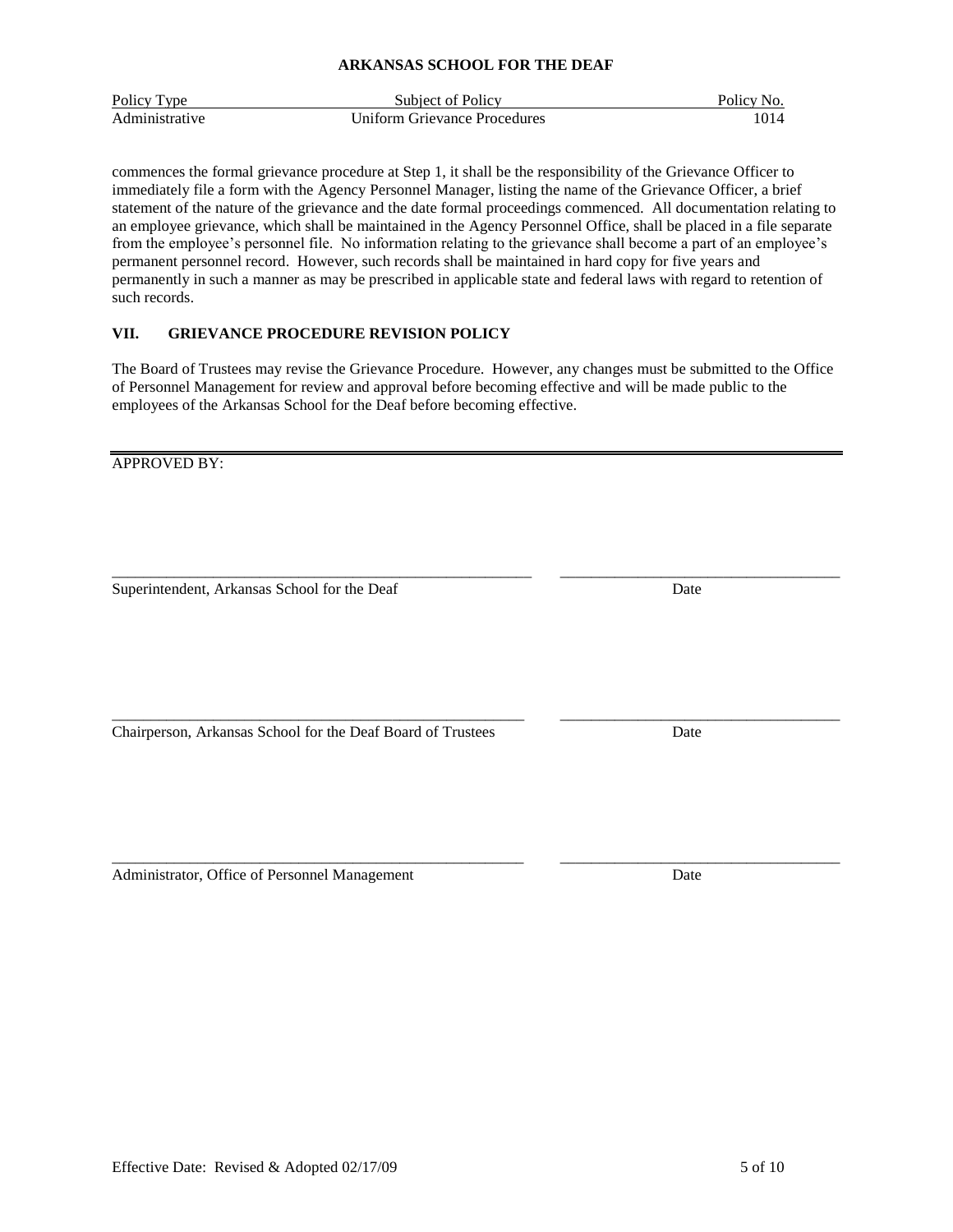| <b>ARKANSAS SCHOOL FOR THE DEAF</b> |  |  |
|-------------------------------------|--|--|
|                                     |  |  |

| Policy Type    | Subject of Policy            | Policy No. |
|----------------|------------------------------|------------|
| Administrative | Uniform Grievance Procedures | 1014       |

commences the formal grievance procedure at Step 1, it shall be the responsibility of the Grievance Officer to immediately file a form with the Agency Personnel Manager, listing the name of the Grievance Officer, a brief statement of the nature of the grievance and the date formal proceedings commenced. All documentation relating to an employee grievance, which shall be maintained in the Agency Personnel Office, shall be placed in a file separate from the employee's personnel file. No information relating to the grievance shall become a part of an employee's permanent personnel record. However, such records shall be maintained in hard copy for five years and permanently in such a manner as may be prescribed in applicable state and federal laws with regard to retention of such records.

# **VII. GRIEVANCE PROCEDURE REVISION POLICY**

The Board of Trustees may revise the Grievance Procedure. However, any changes must be submitted to the Office of Personnel Management for review and approval before becoming effective and will be made public to the employees of the Arkansas School for the Deaf before becoming effective.

\_\_\_\_\_\_\_\_\_\_\_\_\_\_\_\_\_\_\_\_\_\_\_\_\_\_\_\_\_\_\_\_\_\_\_\_\_\_\_\_\_\_\_\_\_\_\_\_\_\_\_\_\_ \_\_\_\_\_\_\_\_\_\_\_\_\_\_\_\_\_\_\_\_\_\_\_\_\_\_\_\_\_\_\_\_\_\_\_\_

APPROVED BY:

Superintendent, Arkansas School for the Deaf Date Date Date

Chairperson, Arkansas School for the Deaf Board of Trustees Date

\_\_\_\_\_\_\_\_\_\_\_\_\_\_\_\_\_\_\_\_\_\_\_\_\_\_\_\_\_\_\_\_\_\_\_\_\_\_\_\_\_\_\_\_\_\_\_\_\_\_\_\_\_ \_\_\_\_\_\_\_\_\_\_\_\_\_\_\_\_\_\_\_\_\_\_\_\_\_\_\_\_\_\_\_\_\_\_\_\_ Administrator, Office of Personnel Management Date Date

\_\_\_\_\_\_\_\_\_\_\_\_\_\_\_\_\_\_\_\_\_\_\_\_\_\_\_\_\_\_\_\_\_\_\_\_\_\_\_\_\_\_\_\_\_\_\_\_\_\_\_\_\_\_ \_\_\_\_\_\_\_\_\_\_\_\_\_\_\_\_\_\_\_\_\_\_\_\_\_\_\_\_\_\_\_\_\_\_\_\_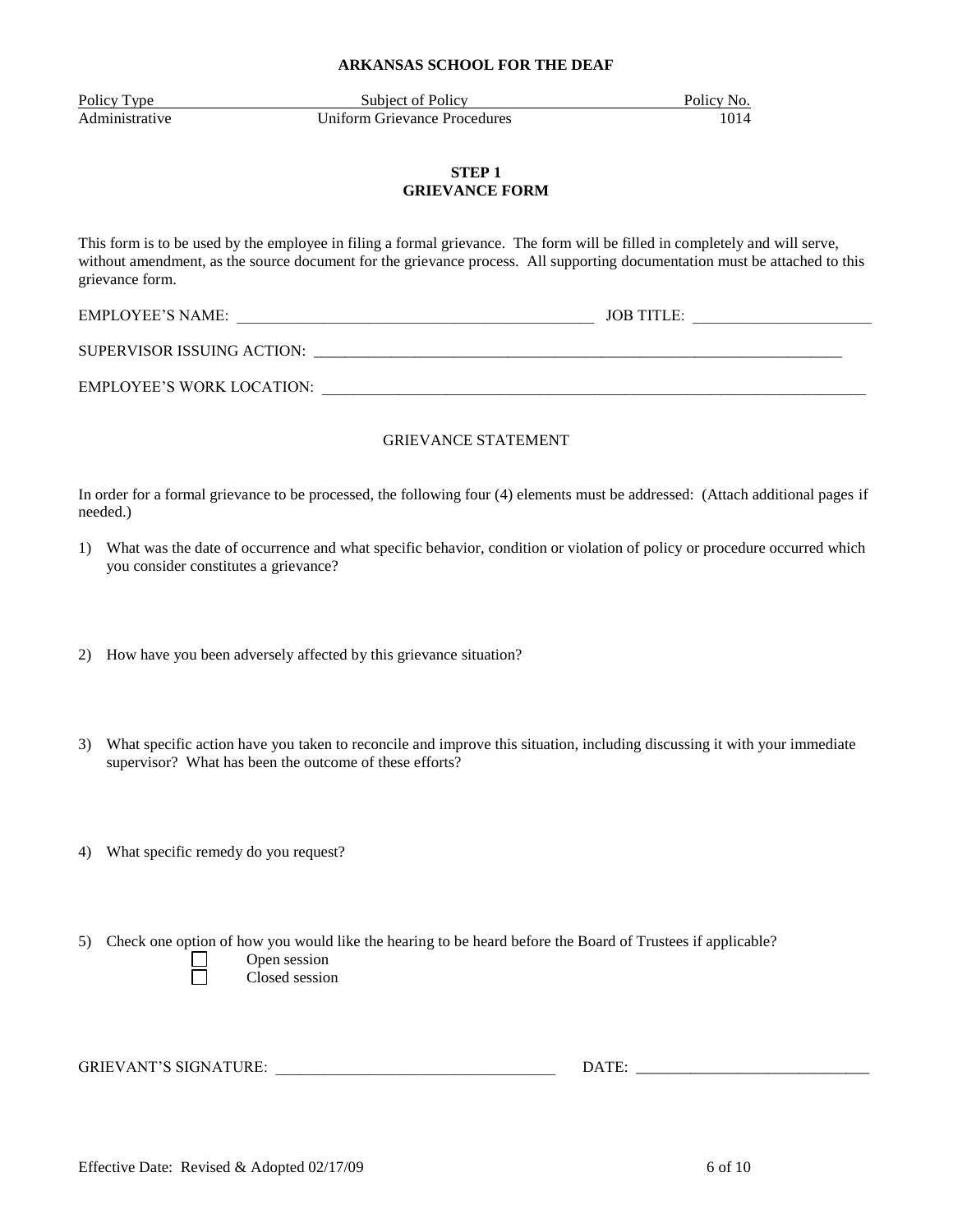Policy Type Subject of Policy Policy Policy No. Administrative Uniform Grievance Procedures 1014

# **STEP 1 GRIEVANCE FORM**

This form is to be used by the employee in filing a formal grievance. The form will be filled in completely and will serve, without amendment, as the source document for the grievance process. All supporting documentation must be attached to this grievance form.

EMPLOYEE'S NAME: \_\_\_\_\_\_\_\_\_\_\_\_\_\_\_\_\_\_\_\_\_\_\_\_\_\_\_\_\_\_\_\_\_\_\_\_\_\_\_\_\_\_\_\_\_\_ JOB TITLE: \_\_\_\_\_\_\_\_\_\_\_\_\_\_\_\_\_\_\_\_\_\_\_

SUPERVISOR ISSUING ACTION: \_\_\_\_\_\_\_\_\_\_\_\_\_\_\_\_\_\_\_\_\_\_\_\_\_\_\_\_\_\_\_\_\_\_\_\_\_\_\_\_\_\_\_\_\_\_\_\_\_\_\_\_\_\_\_\_\_\_\_\_\_\_\_\_\_\_\_\_

EMPLOYEE'S WORK LOCATION:

## GRIEVANCE STATEMENT

In order for a formal grievance to be processed, the following four (4) elements must be addressed: (Attach additional pages if needed.)

- 1) What was the date of occurrence and what specific behavior, condition or violation of policy or procedure occurred which you consider constitutes a grievance?
- 2) How have you been adversely affected by this grievance situation?
- 3) What specific action have you taken to reconcile and improve this situation, including discussing it with your immediate supervisor? What has been the outcome of these efforts?
- 4) What specific remedy do you request?
- 5) Check one option of how you would like the hearing to be heard before the Board of Trustees if applicable? Open session Closed session

GRIEVANT'S SIGNATURE: \_\_\_\_\_\_\_\_\_\_\_\_\_\_\_\_\_\_\_\_\_\_\_\_\_\_\_\_\_\_\_\_\_\_\_\_ DATE: \_\_\_\_\_\_\_\_\_\_\_\_\_\_\_\_\_\_\_\_\_\_\_\_\_\_\_\_\_\_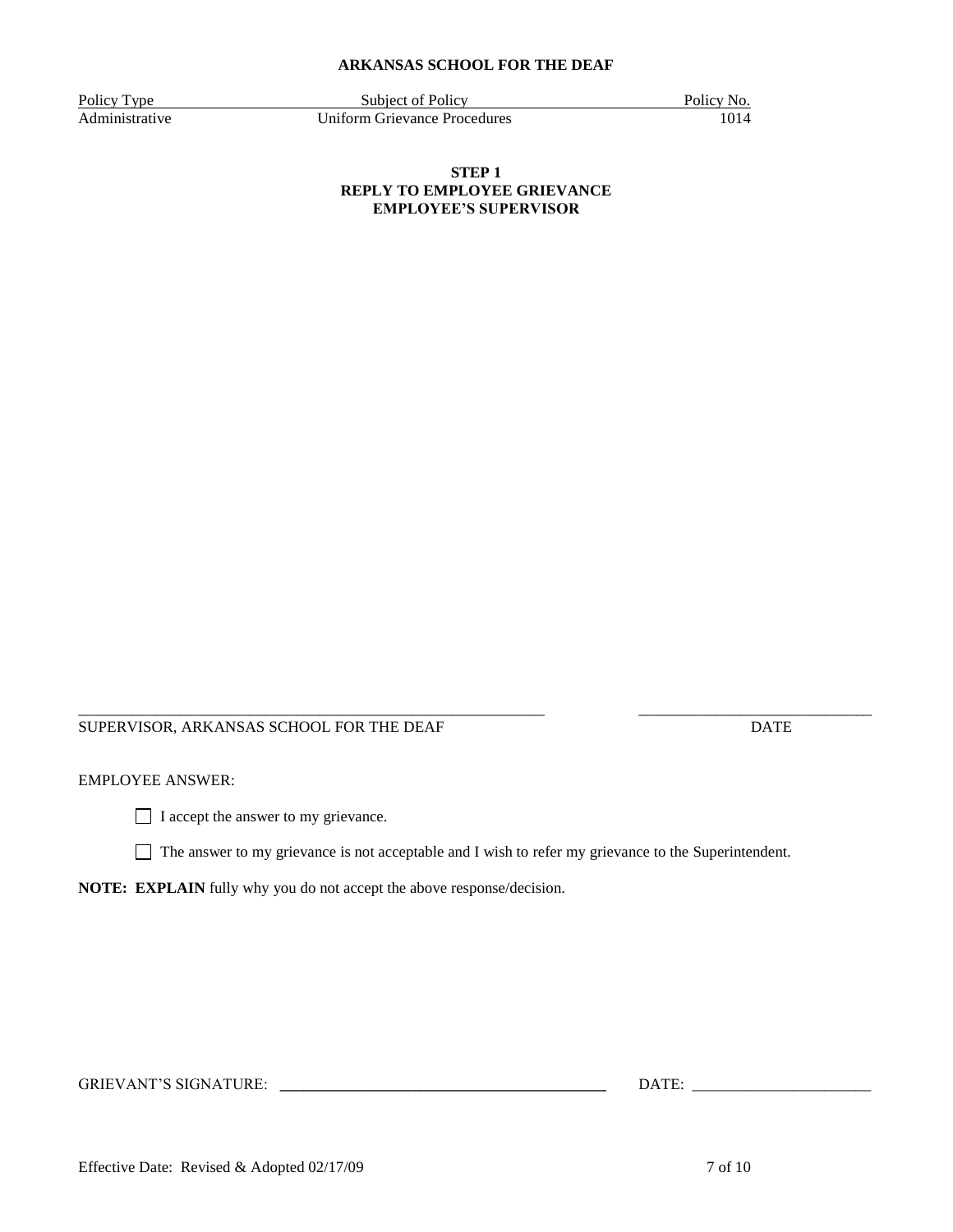Policy Type Subject of Policy Policy Policy Policy Policy No. Administrative Uniform Grievance Procedures 1014

## **STEP 1 REPLY TO EMPLOYEE GRIEVANCE EMPLOYEE'S SUPERVISOR**

#### \_\_\_\_\_\_\_\_\_\_\_\_\_\_\_\_\_\_\_\_\_\_\_\_\_\_\_\_\_\_\_\_\_\_\_\_\_\_\_\_\_\_\_\_\_\_\_\_\_\_\_\_\_\_\_\_\_\_\_\_ \_\_\_\_\_\_\_\_\_\_\_\_\_\_\_\_\_\_\_\_\_\_\_\_\_\_\_\_\_\_ SUPERVISOR, ARKANSAS SCHOOL FOR THE DEAF DATE

# EMPLOYEE ANSWER:

I accept the answer to my grievance.

The answer to my grievance is not acceptable and I wish to refer my grievance to the Superintendent.

**NOTE: EXPLAIN** fully why you do not accept the above response/decision.

GRIEVANT'S SIGNATURE: **\_\_\_\_\_\_\_\_\_\_\_\_\_\_\_\_\_\_\_\_\_\_\_\_\_\_\_\_\_\_\_\_\_\_\_\_\_\_\_\_\_\_** DATE: \_\_\_\_\_\_\_\_\_\_\_\_\_\_\_\_\_\_\_\_\_\_\_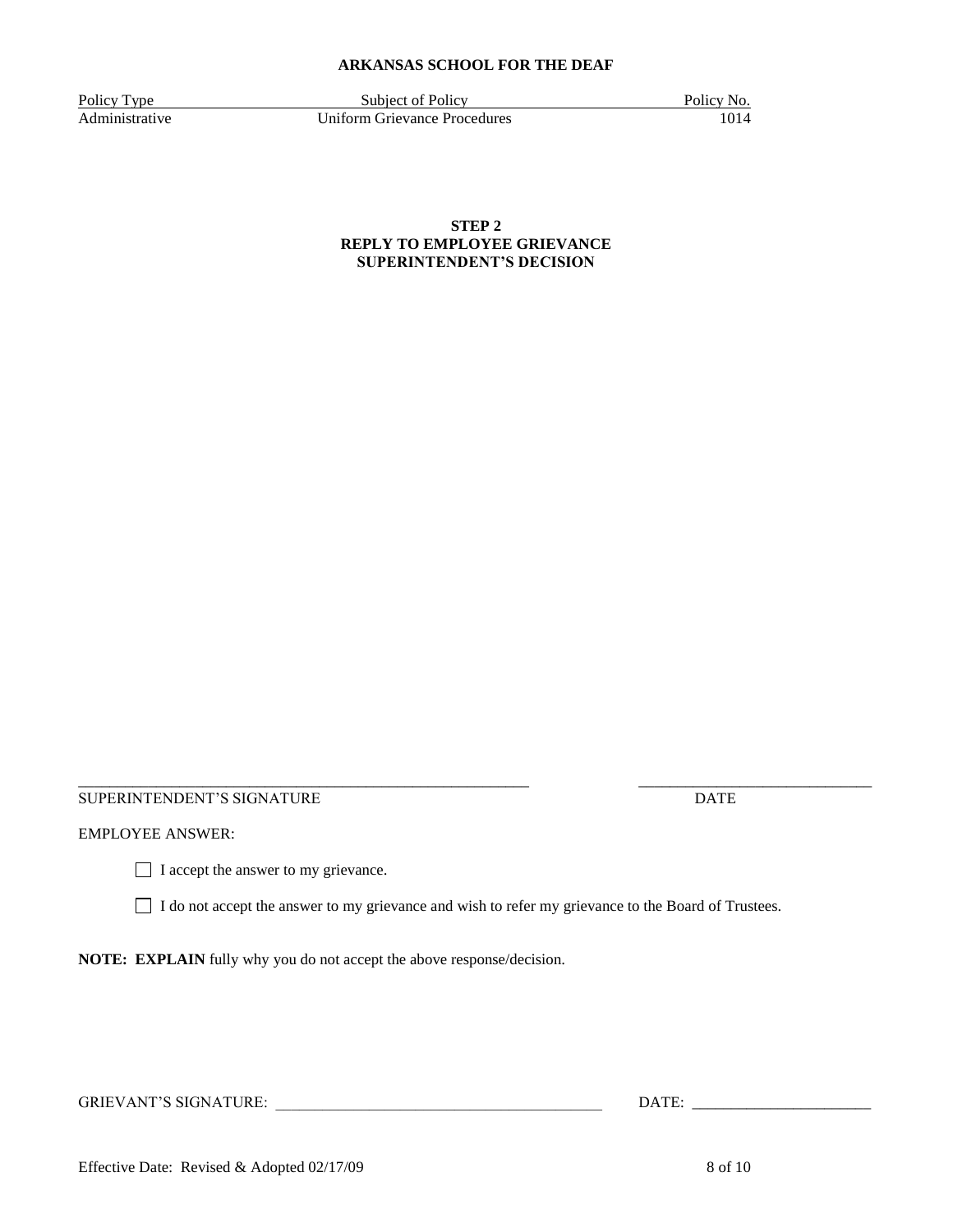Policy Type Subject of Policy Policy Policy No.<br>Administrative Uniform Grievance Procedures 1014 **Uniform Grievance Procedures** 

**STEP 2 REPLY TO EMPLOYEE GRIEVANCE SUPERINTENDENT'S DECISION**

SUPERINTENDENT'S SIGNATURE **Example 2018** DATE

EMPLOYEE ANSWER:

I accept the answer to my grievance.

I do not accept the answer to my grievance and wish to refer my grievance to the Board of Trustees.

**NOTE: EXPLAIN** fully why you do not accept the above response/decision.

GRIEVANT'S SIGNATURE: \_\_\_\_\_\_\_\_\_\_\_\_\_\_\_\_\_\_\_\_\_\_\_\_\_\_\_\_\_\_\_\_\_\_\_\_\_\_\_\_\_\_ DATE: \_\_\_\_\_\_\_\_\_\_\_\_\_\_\_\_\_\_\_\_\_\_\_

Effective Date: Revised & Adopted 02/17/09 8 of 10

\_\_\_\_\_\_\_\_\_\_\_\_\_\_\_\_\_\_\_\_\_\_\_\_\_\_\_\_\_\_\_\_\_\_\_\_\_\_\_\_\_\_\_\_\_\_\_\_\_\_\_\_\_\_\_\_\_\_ \_\_\_\_\_\_\_\_\_\_\_\_\_\_\_\_\_\_\_\_\_\_\_\_\_\_\_\_\_\_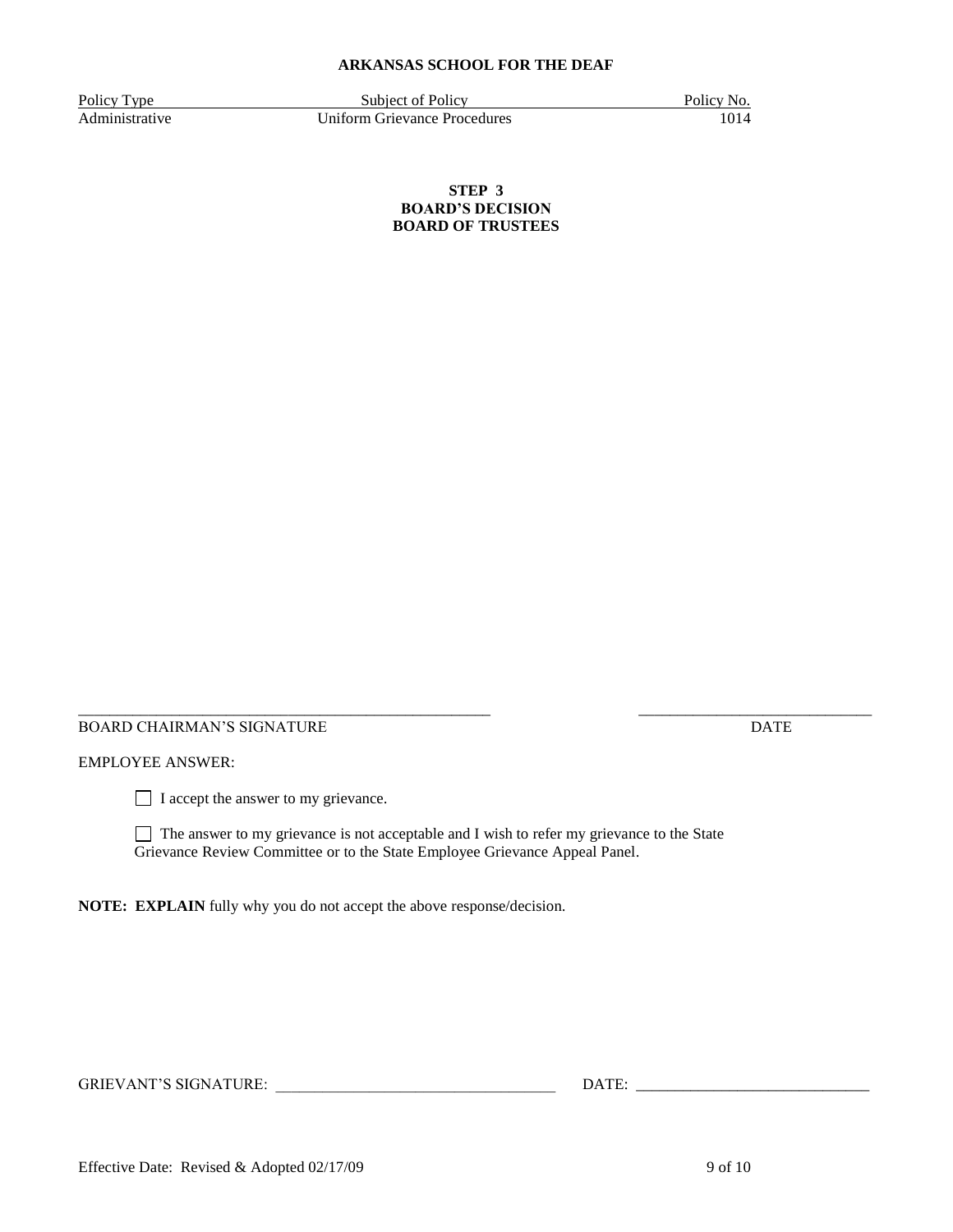Policy Type Subject of Policy Policy Policy Policy Policy No. Administrative Uniform Grievance Procedures 1014

**STEP 3 BOARD'S DECISION BOARD OF TRUSTEES**

#### \_\_\_\_\_\_\_\_\_\_\_\_\_\_\_\_\_\_\_\_\_\_\_\_\_\_\_\_\_\_\_\_\_\_\_\_\_\_\_\_\_\_\_\_\_\_\_\_\_\_\_\_\_ \_\_\_\_\_\_\_\_\_\_\_\_\_\_\_\_\_\_\_\_\_\_\_\_\_\_\_\_\_\_ BOARD CHAIRMAN'S SIGNATURE **Example 2018** DATE

# EMPLOYEE ANSWER:

□ I accept the answer to my grievance.

 $\Box$  The answer to my grievance is not acceptable and I wish to refer my grievance to the State Grievance Review Committee or to the State Employee Grievance Appeal Panel.

**NOTE: EXPLAIN** fully why you do not accept the above response/decision.

GRIEVANT'S SIGNATURE: \_\_\_\_\_\_\_\_\_\_\_\_\_\_\_\_\_\_\_\_\_\_\_\_\_\_\_\_\_\_\_\_\_\_\_\_ DATE: \_\_\_\_\_\_\_\_\_\_\_\_\_\_\_\_\_\_\_\_\_\_\_\_\_\_\_\_\_\_